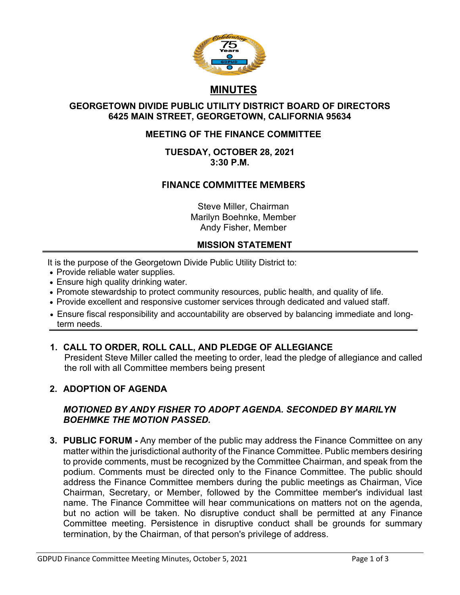

# **MINUTES**

## **GEORGETOWN DIVIDE PUBLIC UTILITY DISTRICT BOARD OF DIRECTORS 6425 MAIN STREET, GEORGETOWN, CALIFORNIA 95634**

# **MEETING OF THE FINANCE COMMITTEE**

**TUESDAY, OCTOBER 28, 2021 3:30 P.M.**

# **FINANCE COMMITTEE MEMBERS**

Steve Miller, Chairman Marilyn Boehnke, Member Andy Fisher, Member

## **MISSION STATEMENT**

It is the purpose of the Georgetown Divide Public Utility District to:

- Provide reliable water supplies.
- Ensure high quality drinking water.
- Promote stewardship to protect community resources, public health, and quality of life.
- Provide excellent and responsive customer services through dedicated and valued staff.
- Ensure fiscal responsibility and accountability are observed by balancing immediate and longterm needs.
- **1. CALL TO ORDER, ROLL CALL, AND PLEDGE OF ALLEGIANCE**

President Steve Miller called the meeting to order, lead the pledge of allegiance and called the roll with all Committee members being present

# **2. ADOPTION OF AGENDA**

## *MOTIONED BY ANDY FISHER TO ADOPT AGENDA. SECONDED BY MARILYN BOEHMKE THE MOTION PASSED.*

**3. PUBLIC FORUM -** Any member of the public may address the Finance Committee on any matter within the jurisdictional authority of the Finance Committee. Public members desiring to provide comments, must be recognized by the Committee Chairman, and speak from the podium. Comments must be directed only to the Finance Committee. The public should address the Finance Committee members during the public meetings as Chairman, Vice Chairman, Secretary, or Member, followed by the Committee member's individual last name. The Finance Committee will hear communications on matters not on the agenda, but no action will be taken. No disruptive conduct shall be permitted at any Finance Committee meeting. Persistence in disruptive conduct shall be grounds for summary termination, by the Chairman, of that person's privilege of address.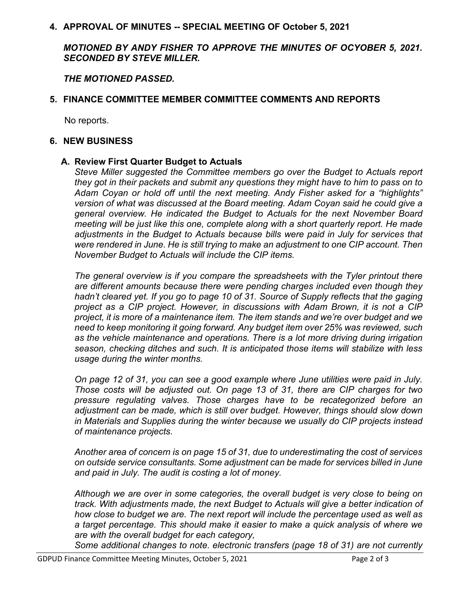#### **4. APPROVAL OF MINUTES -- SPECIAL MEETING OF October 5, 2021**

*MOTIONED BY ANDY FISHER TO APPROVE THE MINUTES OF OCYOBER 5, 2021. SECONDED BY STEVE MILLER.*

*THE MOTIONED PASSED.*

## **5. FINANCE COMMITTEE MEMBER COMMITTEE COMMENTS AND REPORTS**

No reports.

#### **6. NEW BUSINESS**

#### **A. Review First Quarter Budget to Actuals**

*Steve Miller suggested the Committee members go over the Budget to Actuals report they got in their packets and submit any questions they might have to him to pass on to Adam Coyan or hold off until the next meeting. Andy Fisher asked for a "highlights" version of what was discussed at the Board meeting. Adam Coyan said he could give a general overview. He indicated the Budget to Actuals for the next November Board meeting will be just like this one, complete along with a short quarterly report. He made adjustments in the Budget to Actuals because bills were paid in July for services that were rendered in June. He is still trying to make an adjustment to one CIP account. Then November Budget to Actuals will include the CIP items.*

*The general overview is if you compare the spreadsheets with the Tyler printout there are different amounts because there were pending charges included even though they hadn't cleared yet. If you go to page 10 of 31. Source of Supply reflects that the gaging project as a CIP project. However, in discussions with Adam Brown, it is not a CIP project, it is more of a maintenance item. The item stands and we're over budget and we need to keep monitoring it going forward. Any budget item over 25% was reviewed, such as the vehicle maintenance and operations. There is a lot more driving during irrigation season, checking ditches and such. It is anticipated those items will stabilize with less usage during the winter months.*

*On page 12 of 31, you can see a good example where June utilities were paid in July. Those costs will be adjusted out. On page 13 of 31, there are CIP charges for two pressure regulating valves. Those charges have to be recategorized before an adjustment can be made, which is still over budget. However, things should slow down in Materials and Supplies during the winter because we usually do CIP projects instead of maintenance projects.*

*Another area of concern is on page 15 of 31, due to underestimating the cost of services on outside service consultants. Some adjustment can be made for services billed in June and paid in July. The audit is costing a lot of money.*

*Although we are over in some categories, the overall budget is very close to being on track. With adjustments made, the next Budget to Actuals will give a better indication of how close to budget we are. The next report will include the percentage used as well as a target percentage. This should make it easier to make a quick analysis of where we are with the overall budget for each category,*

*Some additional changes to note. electronic transfers (page 18 of 31) are not currently*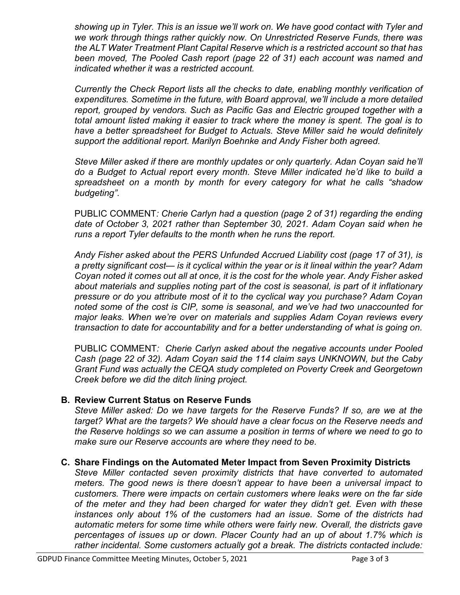*showing up in Tyler. This is an issue we'll work on. We have good contact with Tyler and we work through things rather quickly now. On Unrestricted Reserve Funds, there was the ALT Water Treatment Plant Capital Reserve which is a restricted account so that has been moved, The Pooled Cash report (page 22 of 31) each account was named and indicated whether it was a restricted account.*

*Currently the Check Report lists all the checks to date, enabling monthly verification of expenditures. Sometime in the future, with Board approval, we'll include a more detailed report, grouped by vendors. Such as Pacific Gas and Electric grouped together with a total amount listed making it easier to track where the money is spent. The goal is to have a better spreadsheet for Budget to Actuals. Steve Miller said he would definitely support the additional report. Marilyn Boehnke and Andy Fisher both agreed.*

*Steve Miller asked if there are monthly updates or only quarterly. Adan Coyan said he'll do a Budget to Actual report every month. Steve Miller indicated he'd like to build a spreadsheet on a month by month for every category for what he calls "shadow budgeting".*

PUBLIC COMMENT*: Cherie Carlyn had a question (page 2 of 31) regarding the ending date of October 3, 2021 rather than September 30, 2021. Adam Coyan said when he runs a report Tyler defaults to the month when he runs the report.*

*Andy Fisher asked about the PERS Unfunded Accrued Liability cost (page 17 of 31), is a pretty significant cost— is it cyclical within the year or is it lineal within the year? Adam Coyan noted it comes out all at once, it is the cost for the whole year. Andy Fisher asked about materials and supplies noting part of the cost is seasonal, is part of it inflationary pressure or do you attribute most of it to the cyclical way you purchase? Adam Coyan noted some of the cost is CIP, some is seasonal, and we've had two unaccounted for major leaks. When we're over on materials and supplies Adam Coyan reviews every transaction to date for accountability and for a better understanding of what is going on.*

PUBLIC COMMENT*: Cherie Carlyn asked about the negative accounts under Pooled Cash (page 22 of 32). Adam Coyan said the 114 claim says UNKNOWN, but the Caby Grant Fund was actually the CEQA study completed on Poverty Creek and Georgetown Creek before we did the ditch lining project.* 

# **B. Review Current Status on Reserve Funds**

*Steve Miller asked: Do we have targets for the Reserve Funds? If so, are we at the target? What are the targets? We should have a clear focus on the Reserve needs and the Reserve holdings so we can assume a position in terms of where we need to go to make sure our Reserve accounts are where they need to be.*

#### **C. Share Findings on the Automated Meter Impact from Seven Proximity Districts**

*Steve Miller contacted seven proximity districts that have converted to automated meters. The good news is there doesn't appear to have been a universal impact to customers. There were impacts on certain customers where leaks were on the far side of the meter and they had been charged for water they didn't get. Even with these instances only about 1% of the customers had an issue. Some of the districts had automatic meters for some time while others were fairly new. Overall, the districts gave percentages of issues up or down. Placer County had an up of about 1.7% which is rather incidental. Some customers actually got a break. The districts contacted include:*